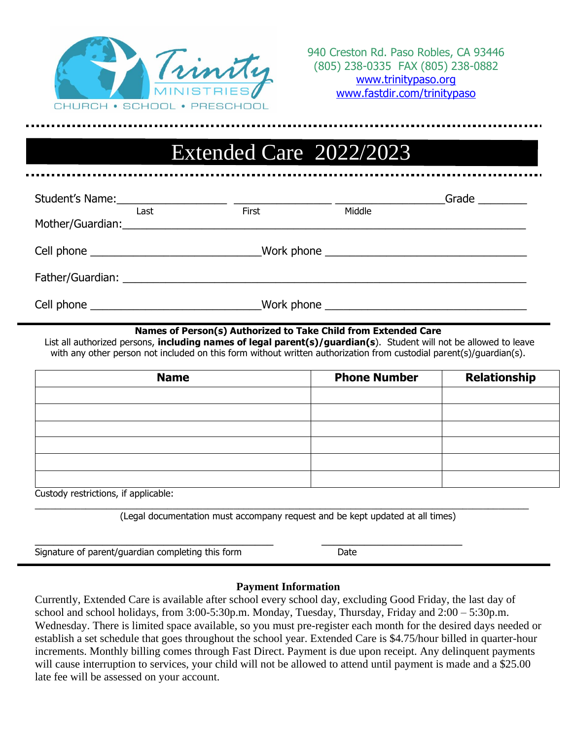

# Extended Care 2022/2023

|                                                                                                                                                                                                                                |       | Grade $\qquad \qquad$ |  |
|--------------------------------------------------------------------------------------------------------------------------------------------------------------------------------------------------------------------------------|-------|-----------------------|--|
| Last                                                                                                                                                                                                                           | First | Middle                |  |
|                                                                                                                                                                                                                                |       |                       |  |
| Cell phone ______________________________Work phone ____________________________                                                                                                                                               |       |                       |  |
| Father/Guardian: National Action of the Contract of the Contract of the Contract of the Contract of the Contract of the Contract of the Contract of the Contract of the Contract of the Contract of the Contract of the Contra |       |                       |  |
|                                                                                                                                                                                                                                |       |                       |  |

#### **Names of Person(s) Authorized to Take Child from Extended Care**

List all authorized persons, **including names of legal parent(s)/guardian(s**). Student will not be allowed to leave with any other person not included on this form without written authorization from custodial parent(s)/guardian(s).

| <b>Name</b> | <b>Phone Number</b> | <b>Relationship</b> |
|-------------|---------------------|---------------------|
|             |                     |                     |
|             |                     |                     |
|             |                     |                     |
|             |                     |                     |
|             |                     |                     |
|             |                     |                     |

Custody restrictions, if applicable:

(Legal documentation must accompany request and be kept updated at all times)

 $\_$  , and the set of the set of the set of the set of the set of the set of the set of the set of the set of the set of the set of the set of the set of the set of the set of the set of the set of the set of the set of th

\_\_\_\_\_\_\_\_\_\_\_\_\_\_\_\_\_\_\_\_\_\_\_\_\_\_\_\_\_\_\_\_\_\_\_\_\_\_\_ \_\_\_\_\_\_\_\_\_\_\_\_\_\_\_\_\_\_\_\_\_\_\_

Signature of parent/guardian completing this form Date

#### **Payment Information**

Currently, Extended Care is available after school every school day, excluding Good Friday, the last day of school and school holidays, from 3:00-5:30p.m. Monday, Tuesday, Thursday, Friday and 2:00 – 5:30p.m. Wednesday. There is limited space available, so you must pre-register each month for the desired days needed or establish a set schedule that goes throughout the school year. Extended Care is \$4.75/hour billed in quarter-hour increments. Monthly billing comes through Fast Direct. Payment is due upon receipt. Any delinquent payments will cause interruption to services, your child will not be allowed to attend until payment is made and a \$25.00 late fee will be assessed on your account.